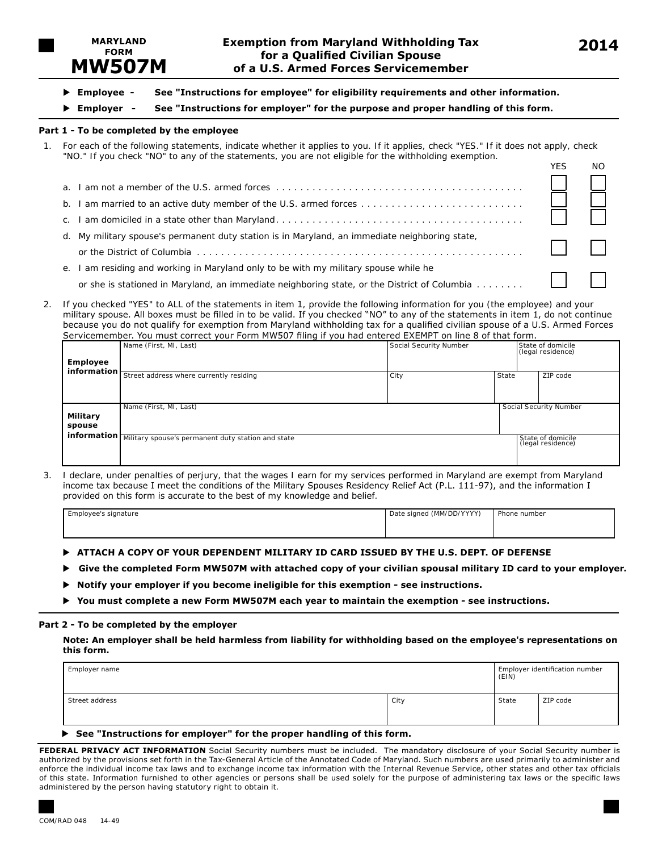

- u **Employee - See "Instructions for employee" for eligibility requirements and other information.**
- u **Employer - See "Instructions for employer" for the purpose and proper handling of this form.**

#### **Part 1 - To be completed by the employee**

1. For each of the following statements, indicate whether it applies to you. If it applies, check "YES." If it does not apply, check "NO." If you check "NO" to any of the statements, you are not eligible for the withholding exemption.

| a. |                                                                                                |  |
|----|------------------------------------------------------------------------------------------------|--|
| b. |                                                                                                |  |
|    |                                                                                                |  |
|    | d. My military spouse's permanent duty station is in Maryland, an immediate neighboring state, |  |
|    |                                                                                                |  |
| е. | am residing and working in Maryland only to be with my military spouse while he                |  |
|    | or she is stationed in Maryland, an immediate neighboring state, or the District of Columbia   |  |
|    |                                                                                                |  |

2. If you checked "YES" to ALL of the statements in item 1, provide the following information for you (the employee) and your military spouse. All boxes must be filled in to be valid. If you checked "NO" to any of the statements in item 1, do not continue because you do not qualify for exemption from Maryland withholding tax for a qualified civilian spouse of a U.S. Armed Forces Servicemember. You must correct your Form MW507 filing if you had entered EXEMPT on line 8 of that form.

| SCI MCCHICHIDCH. TOU HIUSE COLLCCE YOUL FORHERWSO? TIMIG IF YOU HUU CHECTCU EXERTIT FOILMIC O OF ENGETOHIN. | State of domicile                                              |                        |                   |                        |  |
|-------------------------------------------------------------------------------------------------------------|----------------------------------------------------------------|------------------------|-------------------|------------------------|--|
|                                                                                                             | Name (First, MI, Last)                                         | Social Security Number | (legal residence) |                        |  |
| <b>Employee</b>                                                                                             |                                                                |                        |                   |                        |  |
| information $\vdash$                                                                                        |                                                                |                        |                   |                        |  |
|                                                                                                             | Street address where currently residing                        | City                   | State             | ZIP code               |  |
|                                                                                                             |                                                                |                        |                   |                        |  |
|                                                                                                             |                                                                |                        |                   |                        |  |
|                                                                                                             |                                                                |                        |                   |                        |  |
|                                                                                                             | Name (First, MI, Last)                                         |                        |                   | Social Security Number |  |
| Military                                                                                                    |                                                                |                        |                   |                        |  |
| spouse                                                                                                      |                                                                |                        |                   |                        |  |
|                                                                                                             | information Military spouse's permanent duty station and state |                        |                   | State of domicile      |  |
|                                                                                                             |                                                                |                        |                   | (legal residence)      |  |
|                                                                                                             |                                                                |                        |                   |                        |  |
|                                                                                                             |                                                                |                        |                   |                        |  |

3. I declare, under penalties of perjury, that the wages I earn for my services performed in Maryland are exempt from Maryland income tax because I meet the conditions of the Military Spouses Residency Relief Act (P.L. 111-97), and the information I provided on this form is accurate to the best of my knowledge and belief.

| $.$ Fmnloves:<br>: signature<br>. | $-1$ (MM/DD/VVVV)<br>Date<br>signed<br>וטט<br>$\tilde{\phantom{a}}$ | Phone number<br>. |  |
|-----------------------------------|---------------------------------------------------------------------|-------------------|--|
|                                   |                                                                     |                   |  |
|                                   |                                                                     |                   |  |

- **EXTEMPLE A COPY OF YOUR DEPENDENT MILITARY ID CARD ISSUED BY THE U.S. DEPT. OF DEFENSE**
- **Give the completed Form MW507M with attached copy of your civilian spousal military ID card to your employer.**
- ▶ Notify your employer if you become ineligible for this exemption see instructions.
- u **You must complete a new Form MW507M each year to maintain the exemption see instructions.**

#### **Part 2 - To be completed by the employer**

**Note: An employer shall be held harmless from liability for withholding based on the employee's representations on this form.**

| Employer name  |      | Employer identification number<br>(EIN) |          |  |
|----------------|------|-----------------------------------------|----------|--|
| Street address | City | State                                   | ZIP code |  |
|                |      |                                         |          |  |

#### "Instructions for employer" for the proper handling of this form.

**FEDERAL PRIVACY ACT INFORMATION** Social Security numbers must be included. The mandatory disclosure of your Social Security number is authorized by the provisions set forth in the Tax-General Article of the Annotated Code of Maryland. Such numbers are used primarily to administer and enforce the individual income tax laws and to exchange income tax information with the Internal Revenue Service, other states and other tax officials of this state. Information furnished to other agencies or persons shall be used solely for the purpose of administering tax laws or the specific laws administered by the person having statutory right to obtain it.